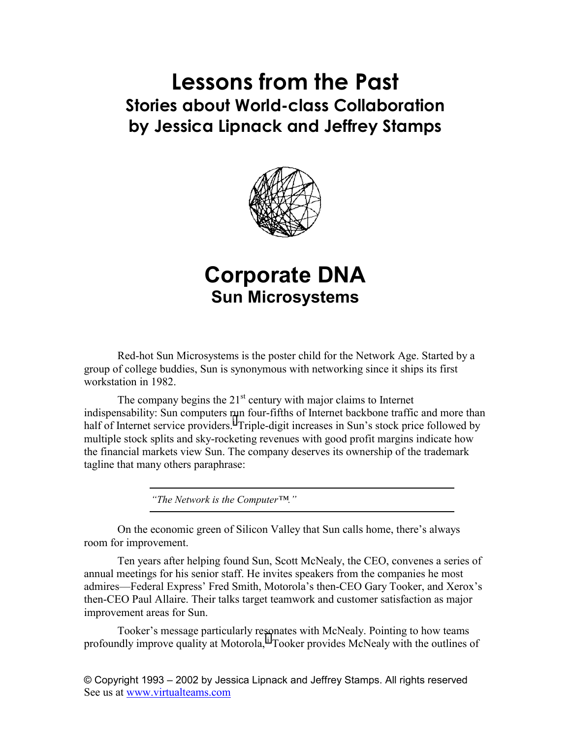# **Lessons from the Past Stories about World-class Collaboration by Jessica Lipnack and Jeffrey Stamps**



## **Corporate DNA Sun Microsystems**

Red-hot Sun Microsystems is the poster child for the Network Age. Started by a group of college buddies, Sun is synonymous with networking since it ships its first workstation in 1982.

The company begins the  $21<sup>st</sup>$  century with major claims to Internet indispensability: Sun computers [ru](#page-7-0)n four-fifths of Internet backbone traffic and more than half of Internet service providers.<sup>1</sup> Triple-digit increases in Sun's stock price followed by multiple stock splits and sky-rocketing revenues with good profit margins indicate how the financial markets view Sun. The company deserves its ownership of the trademark tagline that many others paraphrase:

*"The Network is the Computer™."* 

On the economic green of Silicon Valley that Sun calls home, there's always room for improvement.

Ten years after helping found Sun, Scott McNealy, the CEO, convenes a series of annual meetings for his senior staff. He invites speakers from the companies he most admires—Federal Express' Fred Smith, Motorola's then-CEO Gary Tooker, and Xerox's then-CEO Paul Allaire. Their talks target teamwork and customer satisfaction as major improvement areas for Sun.

Tooker's message particularly resonates with McNealy. Pointing to how teams profoundly improve quality at Motorola,<sup>ii</sup> Tooker provides McNealy with the outlines of

© Copyright 1993 – 2002 by Jessica Lipnack and Jeffrey Stamps. All rights reserved See us at www.virtualteams.com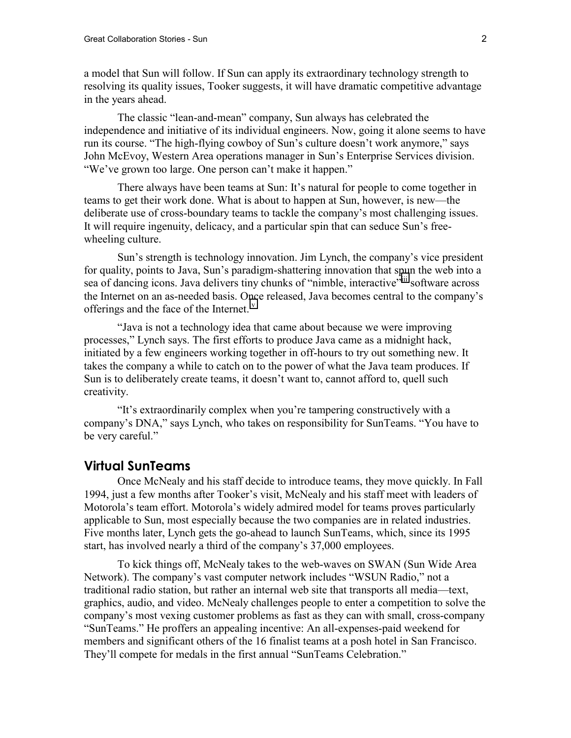a model that Sun will follow. If Sun can apply its extraordinary technology strength to resolving its quality issues, Tooker suggests, it will have dramatic competitive advantage in the years ahead.

The classic "lean-and-mean" company, Sun always has celebrated the independence and initiative of its individual engineers. Now, going it alone seems to have run its course. "The high-flying cowboy of Sun's culture doesn't work anymore," says John McEvoy, Western Area operations manager in Sun's Enterprise Services division. "We've grown too large. One person can't make it happen."

There always have been teams at Sun: It's natural for people to come together in teams to get their work done. What is about to happen at Sun, however, is new—the deliberate use of cross-boundary teams to tackle the company's most challenging issues. It will require ingenuity, delicacy, and a particular spin that can seduce Sun's freewheeling culture.

Sun's strength is technology innovation. Jim Lynch, the company's vice president for quality, points to Java, Sun's paradigm-shattering innovation that spun the web into a sea of dancing icons. Java delivers tiny chunks of "nimble, interactive"<sup>iii</sup> software across the Internet on an as-needed basis. Once released, Java becomes central to the company's offerings and the face of the Internet.[iv](#page-7-0) 

"Java is not a technology idea that came about because we were improving processes," Lynch says. The first efforts to produce Java came as a midnight hack, initiated by a few engineers working together in off-hours to try out something new. It takes the company a while to catch on to the power of what the Java team produces. If Sun is to deliberately create teams, it doesn't want to, cannot afford to, quell such creativity.

"It's extraordinarily complex when you're tampering constructively with a company's DNA," says Lynch, who takes on responsibility for SunTeams. "You have to be very careful."

#### **Virtual SunTeams**

Once McNealy and his staff decide to introduce teams, they move quickly. In Fall 1994, just a few months after Tooker's visit, McNealy and his staff meet with leaders of Motorola's team effort. Motorola's widely admired model for teams proves particularly applicable to Sun, most especially because the two companies are in related industries. Five months later, Lynch gets the go-ahead to launch SunTeams, which, since its 1995 start, has involved nearly a third of the company's 37,000 employees.

To kick things off, McNealy takes to the web-waves on SWAN (Sun Wide Area Network). The company's vast computer network includes "WSUN Radio," not a traditional radio station, but rather an internal web site that transports all media—text, graphics, audio, and video. McNealy challenges people to enter a competition to solve the company's most vexing customer problems as fast as they can with small, cross-company "SunTeams." He proffers an appealing incentive: An all-expenses-paid weekend for members and significant others of the 16 finalist teams at a posh hotel in San Francisco. They'll compete for medals in the first annual "SunTeams Celebration."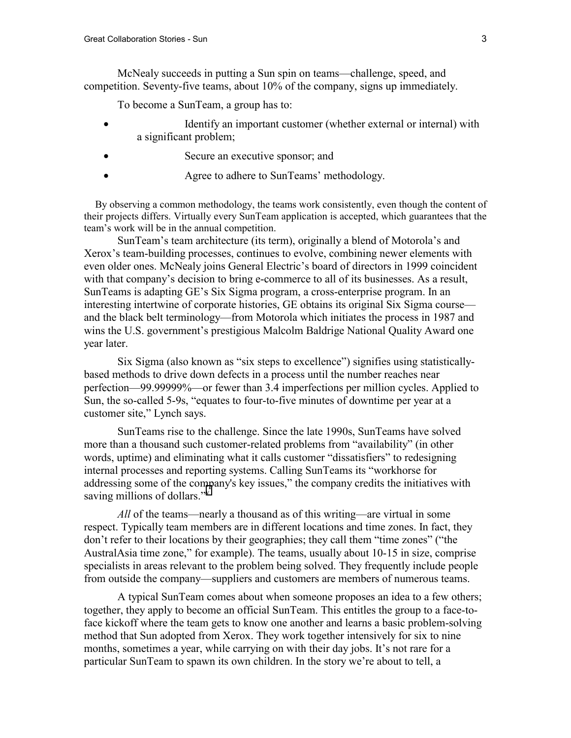McNealy succeeds in putting a Sun spin on teams—challenge, speed, and competition. Seventy-five teams, about 10% of the company, signs up immediately.

To become a SunTeam, a group has to:

- Identify an important customer (whether external or internal) with a significant problem;
- Secure an executive sponsor; and
- Agree to adhere to SunTeams' methodology.

By observing a common methodology, the teams work consistently, even though the content of their projects differs. Virtually every SunTeam application is accepted, which guarantees that the team's work will be in the annual competition.

SunTeam's team architecture (its term), originally a blend of Motorola's and Xerox's team-building processes, continues to evolve, combining newer elements with even older ones. McNealy joins General Electric's board of directors in 1999 coincident with that company's decision to bring e-commerce to all of its businesses. As a result, SunTeams is adapting GE's Six Sigma program, a cross-enterprise program. In an interesting intertwine of corporate histories, GE obtains its original Six Sigma course and the black belt terminology—from Motorola which initiates the process in 1987 and wins the U.S. government's prestigious Malcolm Baldrige National Quality Award one year later.

Six Sigma (also known as "six steps to excellence") signifies using statisticallybased methods to drive down defects in a process until the number reaches near perfection—99.99999%—or fewer than 3.4 imperfections per million cycles. Applied to Sun, the so-called 5-9s, "equates to four-to-five minutes of downtime per year at a customer site," Lynch says.

SunTeams rise to the challenge. Since the late 1990s, SunTeams have solved more than a thousand such customer-related problems from "availability" (in other words, uptime) and eliminating what it calls customer "dissatisfiers" to redesigning internal processes and reporting systems. Calling SunTeams its "workhorse for addressing some of the company's key issues," the company credits the initiatives with sa[v](#page-7-0)ing millions of dollars."<sup>v</sup>

*All* of the teams—nearly a thousand as of this writing—are virtual in some respect. Typically team members are in different locations and time zones. In fact, they don't refer to their locations by their geographies; they call them "time zones" ("the AustralAsia time zone," for example). The teams, usually about 10-15 in size, comprise specialists in areas relevant to the problem being solved. They frequently include people from outside the company—suppliers and customers are members of numerous teams.

A typical SunTeam comes about when someone proposes an idea to a few others; together, they apply to become an official SunTeam. This entitles the group to a face-toface kickoff where the team gets to know one another and learns a basic problem-solving method that Sun adopted from Xerox. They work together intensively for six to nine months, sometimes a year, while carrying on with their day jobs. It's not rare for a particular SunTeam to spawn its own children. In the story we're about to tell, a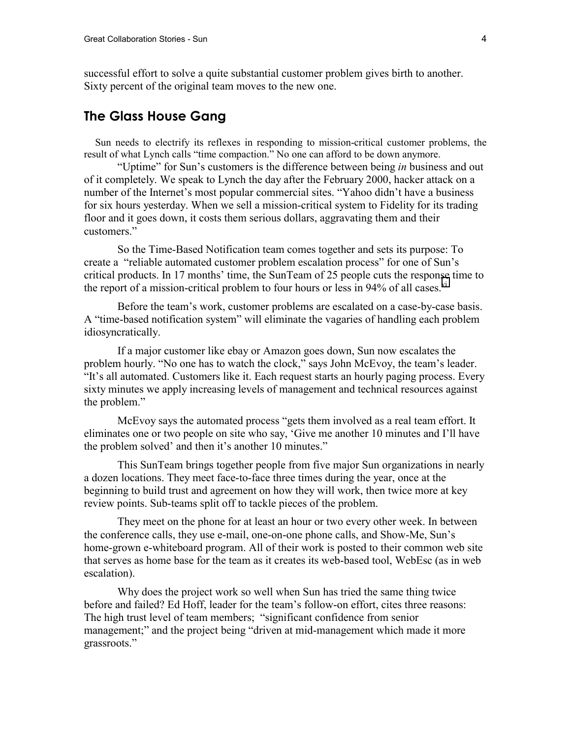successful effort to solve a quite substantial customer problem gives birth to another. Sixty percent of the original team moves to the new one.

#### **The Glass House Gang**

Sun needs to electrify its reflexes in responding to mission-critical customer problems, the result of what Lynch calls "time compaction." No one can afford to be down anymore.

"Uptime" for Sun's customers is the difference between being *in* business and out of it completely. We speak to Lynch the day after the February 2000, hacker attack on a number of the Internet's most popular commercial sites. "Yahoo didn't have a business for six hours yesterday. When we sell a mission-critical system to Fidelity for its trading floor and it goes down, it costs them serious dollars, aggravating them and their customers."

So the Time-Based Notification team comes together and sets its purpose: To create a "reliable automated customer problem escalation process" for one of Sun's critical products. In 17 months' time, the SunTeam of 25 people cuts the response time to the report of a mission-critical problem to four hours or less in 94% of all cases.  $\frac{v_i}{v}$ 

Before the team's work, customer problems are escalated on a case-by-case basis. A "time-based notification system" will eliminate the vagaries of handling each problem idiosyncratically.

If a major customer like ebay or Amazon goes down, Sun now escalates the problem hourly. "No one has to watch the clock," says John McEvoy, the team's leader. "It's all automated. Customers like it. Each request starts an hourly paging process. Every sixty minutes we apply increasing levels of management and technical resources against the problem."

McEvoy says the automated process "gets them involved as a real team effort. It eliminates one or two people on site who say, 'Give me another 10 minutes and I'll have the problem solved' and then it's another 10 minutes."

This SunTeam brings together people from five major Sun organizations in nearly a dozen locations. They meet face-to-face three times during the year, once at the beginning to build trust and agreement on how they will work, then twice more at key review points. Sub-teams split off to tackle pieces of the problem.

They meet on the phone for at least an hour or two every other week. In between the conference calls, they use e-mail, one-on-one phone calls, and Show-Me, Sun's home-grown e-whiteboard program. All of their work is posted to their common web site that serves as home base for the team as it creates its web-based tool, WebEsc (as in web escalation).

Why does the project work so well when Sun has tried the same thing twice before and failed? Ed Hoff, leader for the team's follow-on effort, cites three reasons: The high trust level of team members; "significant confidence from senior management;" and the project being "driven at mid-management which made it more grassroots."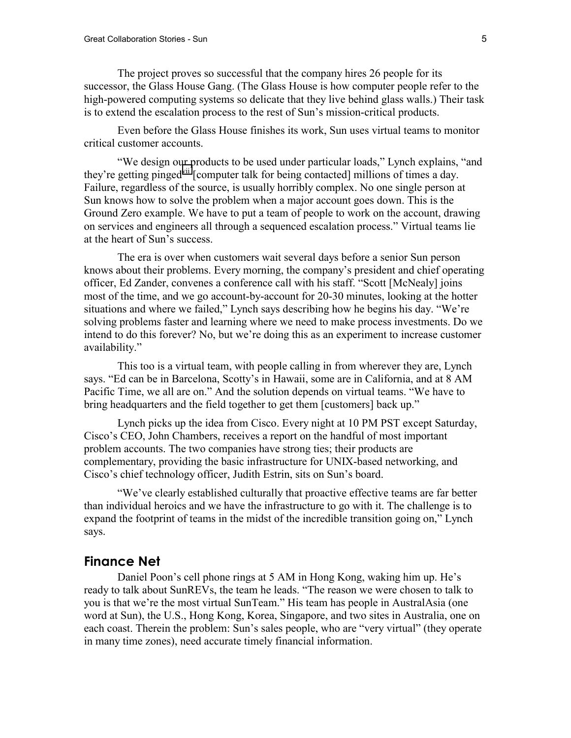The project proves so successful that the company hires 26 people for its successor, the Glass House Gang. (The Glass House is how computer people refer to the high-powered computing systems so delicate that they live behind glass walls.) Their task is to extend the escalation process to the rest of Sun's mission-critical products.

Even before the Glass House finishes its work, Sun uses virtual teams to monitor critical customer accounts.

"We design our products to be used under particular loads," Lynch explains, "and they're getting pinged<sup>vii</sup> [computer talk for being contacted] millions of times a day. Failure, regardless of the source, is usually horribly complex. No one single person at Sun knows how to solve the problem when a major account goes down. This is the Ground Zero example. We have to put a team of people to work on the account, drawing on services and engineers all through a sequenced escalation process." Virtual teams lie at the heart of Sun's success.

The era is over when customers wait several days before a senior Sun person knows about their problems. Every morning, the company's president and chief operating officer, Ed Zander, convenes a conference call with his staff. "Scott [McNealy] joins most of the time, and we go account-by-account for 20-30 minutes, looking at the hotter situations and where we failed," Lynch says describing how he begins his day. "We're solving problems faster and learning where we need to make process investments. Do we intend to do this forever? No, but we're doing this as an experiment to increase customer availability."

This too is a virtual team, with people calling in from wherever they are, Lynch says. "Ed can be in Barcelona, Scotty's in Hawaii, some are in California, and at 8 AM Pacific Time, we all are on." And the solution depends on virtual teams. "We have to bring headquarters and the field together to get them [customers] back up."

Lynch picks up the idea from Cisco. Every night at 10 PM PST except Saturday, Cisco's CEO, John Chambers, receives a report on the handful of most important problem accounts. The two companies have strong ties; their products are complementary, providing the basic infrastructure for UNIX-based networking, and Cisco's chief technology officer, Judith Estrin, sits on Sun's board.

"We've clearly established culturally that proactive effective teams are far better than individual heroics and we have the infrastructure to go with it. The challenge is to expand the footprint of teams in the midst of the incredible transition going on," Lynch says.

#### **Finance Net**

Daniel Poon's cell phone rings at 5 AM in Hong Kong, waking him up. He's ready to talk about SunREVs, the team he leads. "The reason we were chosen to talk to you is that we're the most virtual SunTeam." His team has people in AustralAsia (one word at Sun), the U.S., Hong Kong, Korea, Singapore, and two sites in Australia, one on each coast. Therein the problem: Sun's sales people, who are "very virtual" (they operate in many time zones), need accurate timely financial information.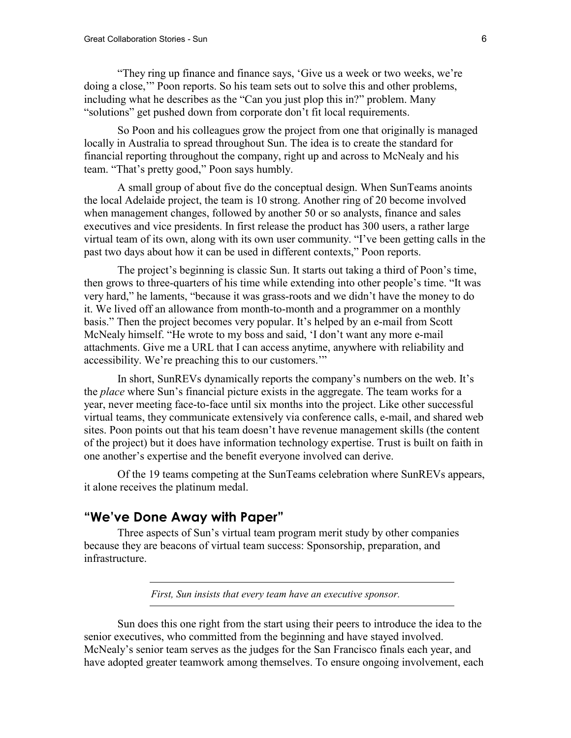"They ring up finance and finance says, 'Give us a week or two weeks, we're doing a close,'" Poon reports. So his team sets out to solve this and other problems, including what he describes as the "Can you just plop this in?" problem. Many "solutions" get pushed down from corporate don't fit local requirements.

So Poon and his colleagues grow the project from one that originally is managed locally in Australia to spread throughout Sun. The idea is to create the standard for financial reporting throughout the company, right up and across to McNealy and his team. "That's pretty good," Poon says humbly.

A small group of about five do the conceptual design. When SunTeams anoints the local Adelaide project, the team is 10 strong. Another ring of 20 become involved when management changes, followed by another 50 or so analysts, finance and sales executives and vice presidents. In first release the product has 300 users, a rather large virtual team of its own, along with its own user community. "I've been getting calls in the past two days about how it can be used in different contexts," Poon reports.

The project's beginning is classic Sun. It starts out taking a third of Poon's time, then grows to three-quarters of his time while extending into other people's time. "It was very hard," he laments, "because it was grass-roots and we didn't have the money to do it. We lived off an allowance from month-to-month and a programmer on a monthly basis." Then the project becomes very popular. It's helped by an e-mail from Scott McNealy himself. "He wrote to my boss and said, 'I don't want any more e-mail attachments. Give me a URL that I can access anytime, anywhere with reliability and accessibility. We're preaching this to our customers.'"

In short, SunREVs dynamically reports the company's numbers on the web. It's the *place* where Sun's financial picture exists in the aggregate. The team works for a year, never meeting face-to-face until six months into the project. Like other successful virtual teams, they communicate extensively via conference calls, e-mail, and shared web sites. Poon points out that his team doesn't have revenue management skills (the content of the project) but it does have information technology expertise. Trust is built on faith in one another's expertise and the benefit everyone involved can derive.

Of the 19 teams competing at the SunTeams celebration where SunREVs appears, it alone receives the platinum medal.

### **"We've Done Away with Paper"**

Three aspects of Sun's virtual team program merit study by other companies because they are beacons of virtual team success: Sponsorship, preparation, and infrastructure.

*First, Sun insists that every team have an executive sponsor.* 

Sun does this one right from the start using their peers to introduce the idea to the senior executives, who committed from the beginning and have stayed involved. McNealy's senior team serves as the judges for the San Francisco finals each year, and have adopted greater teamwork among themselves. To ensure ongoing involvement, each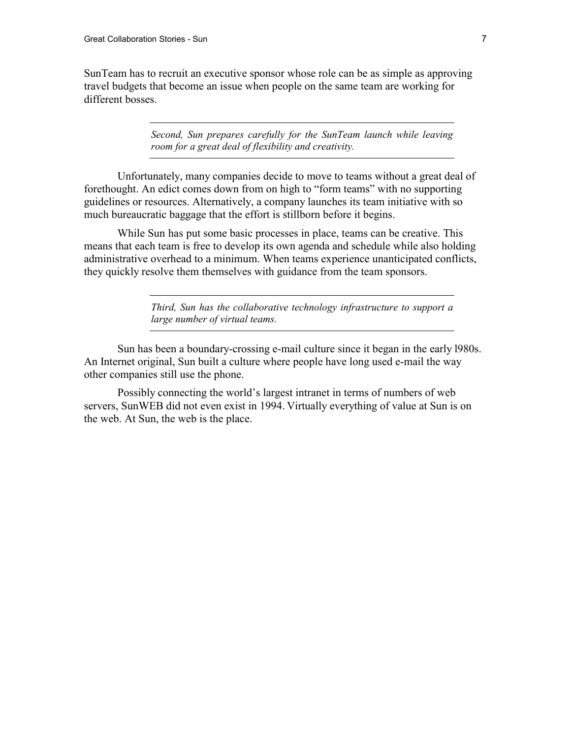SunTeam has to recruit an executive sponsor whose role can be as simple as approving travel budgets that become an issue when people on the same team are working for different bosses.

> *Second, Sun prepares carefully for the SunTeam launch while leaving room for a great deal of flexibility and creativity.*

Unfortunately, many companies decide to move to teams without a great deal of forethought. An edict comes down from on high to "form teams" with no supporting guidelines or resources. Alternatively, a company launches its team initiative with so much bureaucratic baggage that the effort is stillborn before it begins.

While Sun has put some basic processes in place, teams can be creative. This means that each team is free to develop its own agenda and schedule while also holding administrative overhead to a minimum. When teams experience unanticipated conflicts, they quickly resolve them themselves with guidance from the team sponsors.

> *Third, Sun has the collaborative technology infrastructure to support a large number of virtual teams.*

Sun has been a boundary-crossing e-mail culture since it began in the early l980s. An Internet original, Sun built a culture where people have long used e-mail the way other companies still use the phone.

Possibly connecting the world's largest intranet in terms of numbers of web servers, SunWEB did not even exist in 1994. Virtually everything of value at Sun is on the web. At Sun, the web is the place.